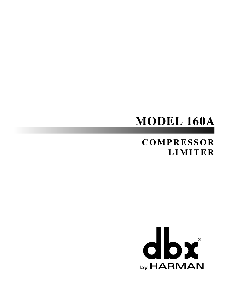# **MODEL 160A**

# **COMPRESSOR LIMITER**

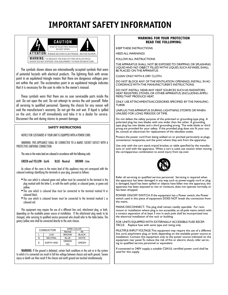# **IMPORTANT SAFETY INFORMATION**



The symbols shown above are internationally accepted symbols that warn of potential hazards with electrical products. The lightning flash with arrowpoint in an equilateral triangle means that there are dangerous voltages present within the unit. The exclamation point in an equilateral triangle indicates that it is necessary for the user to refer to the owner's manual.

These symbols warn that there are no user serviceable parts inside the unit. Do not open the unit. Do not attempt to service the unit yourself. Refer all servicing to qualified personnel. Opening the chassis for any reason will void the manufacturer's warranty. Do not get the unit wet. If liquid is spilled on the unit, shut it off immediately and take it to a dealer for service. Disconnect the unit during storms to prevent damage.

#### SAFETY INSTRUCTIONS

NOTICE FOR CUSTOMERS IF YOUR UNIT IS EQUIPPED WITH A POWER CORD.

WARNING: THIS APPLIANCE SHALL BE CONNECTED TO A MAINS SOCKET OUTLET WITH A PROTECTIVE EARTHING CONNECTION.

The cores in the mains lead are coloured in accordance with the following code:

GREEN and YELLOW - Earth BLUE - Neutral BROWN - Live

As colours of the cores in the mains lead of this appliance may not correspond with the coloured markings identifying the terminals in your plug, proceed as follows:

- The core which is coloured green and yellow must be connected to the terminal in the plug marked with the letter E, or with the earth symbol, or coloured green, or green and yellow.
- The core which is coloured blue must be connected to the terminal marked N or coloured black.
- The core which is coloured brown must be connected to the terminal marked L or coloured red.

This equipment may require the use of a different line cord, attachment plug, or both, depending on the available power source at installation. If the attachment plug needs to be changed, refer servicing to qualified service personnel who should refer to the table below. The green/yellow wire shall be connected directly to the units chassis.

| <b>CONDUCTOR</b> |                  | WIRE COLOR    |              |  |
|------------------|------------------|---------------|--------------|--|
|                  |                  | Normal        | Alt          |  |
|                  | LIVE             | <b>BROWN</b>  | <b>BLACK</b> |  |
| N                | <b>NEUTRAL</b>   | <b>BLUE</b>   | <b>WHITE</b> |  |
| E                | <b>EARTH GND</b> | GREEN/<br>YFI | GREEN        |  |

WARNING: If the ground is defeated, certain fault conditions in the unit or in the system to which it is connected can result in full line voltage between chassis and earth ground. Severe injury or death can then result if the chassis and earth ground are touched simultaneously.

#### **WARNING FOR YOUR PROTECTION READ THE FOLLOWING:**

HEED ALL WARNINGS

FOLLOW ALL INSTRUCTIONS

KEEP THESE INSTRUCTIONS

THE APPARATUS SHALL NOT BE EXPOSED TO DRIPPING OR SPLASHING LIQUID AND NO OBJECT FILLED WITHI LIQUID, SUCH AS VASES, SHALL BE PLACED ON THE APPARATUS.

CLEAN ONLY WITH A DRY CLOTH.

DO NOT BLOCK ANY OF THE VENTILATION OPENINGS. INSTALL IN AC-CORDANCE WITH THE MANUFACTURER'S INSTRUCTIONS.

DO NOT INSTALL NEAR ANY HEAT SOURCES SUCH AS RADIATORS, HEAT REGISTERS, STOVES, OR OTHER APPARATUS (INCLUDING AMPLI-FIERS) THAT PRODUCE HEAT.

ONLY USE ATTACHMENTS/ACCESSORIES SPECIFIED BY THE MANUFAC-TURER.

UNPLUG THIS APPARATUS DURING LIGHTNING STORMS OR WHEN UNUSED FOR LONG PERIODS OF TIME.

Do not defeat the safety purpose of the polarized or grounding-type plug. A polarized plug has two blades with one wider than the other. A grounding type plug has two blades and a third grounding prong. The wide blade or third prong are provided for your safety. If the provided plug does not fit your outlet, consult an electrician for replacement of the obsolete outlet.

Protect the power cord from being walked on or pinched particularly at plugs, convenience receptacles, and the point where they exit from the apparatus.

Use only with the cart stand, tripod bracket, or table specified by the manufacture, or sold with the apparatus. When a cart is used, use caution when moving the cart/apparatus combination to avoid injury from tip-over.



Refer all servicing to qualified service personnel. Servicing is required when the apparatus has been damaged in any way, such as power-supply cord or plug is damaged, liquid has been spilled or objects have fallen into the apparatus, the apparatus has been exposed to rain or moisture, does not operate normally, or has been dropped.

POWER ON/OFF SWITCH: If the equipment has a Power switch, the Power switch used in this piece of equipment DOES NOT break the connection from the mains.

MAINS DISCONNECT: The plug shall remain readily operable. For rackmount or installation where plug is not accessible, an all-pole mains switch with a contact separation of at least  $\overline{3}$  mm in each pole shall be incorporated into the electrical installation of the rack or building.

FOR UNITS EQUIPPED WITH EXTERNALLY ACCESSIBLE FUSE RECEP-TACLE: Replace fuse with same type and rating only.

MULTIPLE-INPUT VOLTAGE: This equipment may require the use of a different line cord, attachment plug, or both, depending on the available power source at installation. Connect this equipment only to the power source indicated on the equipment rear panel. To reduce the risk of fire or electric shock, refer servicing to qualified service personnel or equivalent.

If connected to 240V supply, a suitable CSA/UL certified power cord shall be used for this supply.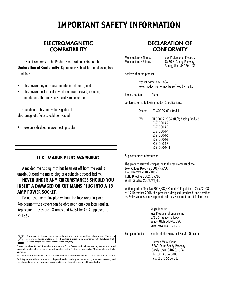# **IMPORTANT SAFETY INFORMATION**

# ELECTROMAGNETIC **COMPATIBILITY**

This unit conforms to the Product Specifications noted on the **Declaration of Conformity**. Operation is subject to the following two conditions:

- this device may not cause harmful interference, and
- this device must accept any interference received, including interference that may cause undesired operation.

Operation of this unit within significant electromagnetic fields should be avoided.

use only shielded interconnecting cables.

### U.K. MAINS PLUG WARNING

A molded mains plug that has been cut off from the cord is unsafe. Discard the mains plug at a suitable disposal facility.

### **NEVER UNDER ANY CIRCUMSTANCES SHOULD YOU INSERT A DAMAGED OR CUT MAINS PLUG INTO A 13 AMP POWER SOCKET.**

Do not use the mains plug without the fuse cover in place. Replacement fuse covers can be obtained from your local retailer. Replacement fuses are 13 amps and MUST be ASTA approved to BS1362.

If you want to dispose this product, do not mix it with general household waste. There is a X separate collection system for used electronic products in accordance with legislation that requires proper treatment, recovery and recycling

Private household in the 25 member states of the EU, in Switzerland and Norway may return their used electronic products free of charge to designated collection facilities or to a retailer (if you purchase a similar new one).

For Countries not mentioned above, please contact your local authorities for a correct method of disposal. By doing so you will ensure that your disposed product undergoes the necessary treatment, recovery and recycling and thus prevent potential negative effects on the environment and human health.

# DECLARATION OF **CONFORMITY**

Manufacturer's Name: dbx Professional Products 8760 S. Sandy Parkway Sandy, Utah 84070, USA

declares that the product:

Product name: dbx 160A Note: Product name may be suffixed by the EU.

Product option: None

conforms to the following Product Specifications:

Safety: IEC 60065 -01+Amd 1

EMC: EN 55022:2006 (N/A; Analog Product) IEC61000-4-2 IEC61000-4-3 IEC61000-4-4 IEC61000-4-5 IEC61000-4-6 IEC61000-4-8 IEC61000-4-11

Supplementary Information:

The product herewith complies with the requirements of the: Low Voltage Directive 2006/95/EC EMC Directive 2004/108/EC. RoHS Directive 2002/95/EC WEEE Directive 2002/96/EC

With regard to Directive 2005/32/EC and EC Regulation 1275/2008 of 17 December 2008, this product is designed, produced, and classified as Professional Audio Equipment and thus is exempt from this Directive.

> Roger Johnsen Vice President of Engineering 8760 S. Sandy Parkway Sandy, Utah 84070, USA Date: November 1, 2010

European Contact: Your local dbx Sales and Service Office or

 Harman Music Group 8760 South Sandy Parkway Sandy, Utah 84070, USA Ph: (801) 566-8800 Fax: (801) 568-7583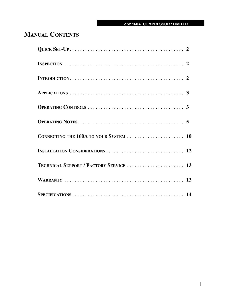# **Manual Contents**

| <b>TECHNICAL SUPPORT / FACTORY SERVICE  13</b> |  |
|------------------------------------------------|--|
|                                                |  |
|                                                |  |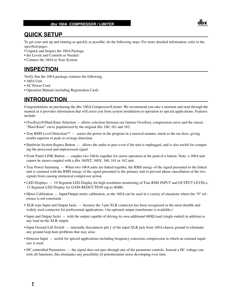### **QUICK SETUP**

To get your unit up and running as quickly as possible, do the following steps. For more detailed information, refer to the specified pages.

- Unpack and Inspect the 160A Package.
- Set Levels and Controls as Needed.
- Connect the 160A to Your System.

## **INSPECTION**

Verify that the 160A package contains the following:

- 160A Unit
- AC Power Cord
- Operation Manual (including Registration Card)

## **INTRODUCTION**

Congratulations on purchasing the dbx 160A Compressor/Limiter. We recommend you take a moment and read through the manual as it provides information that will assist you from system installation to operation to special applications. Features include:

- OverEasy®/Hard Knee Selection -- allows selection between our famous OverEasy compression curve and the classic "Hard Knee" curve popularized by the original dbx 160, 161 and 162.
- True RMS Level Detection™ -- senses the power in the program in a musical manner, much as the ear does, giving results superior to peak or average detection.
- Hardwire System Bypass Button -- allows the audio to pass even if the unit is unplugged, and is also useful for comparing the processed and unprocessed signal.
- Front Panel LINK Button -- couples two 160As together for stereo operation at the push of a button. Note: a 160A unit cannot be stereo-coupled with a dbx 160XT, 160X, 160, 161 or 162 unit.
- True Power Summing -- When two 160A units are linked together, the RMS energy of the signal presented to the linked unit is summed with the RMS energy of the signal presented to the primary unit to prevent phase cancellation of the two signals from causing unmusical compressor action.
- LED Displays -- 19-Segment LED Display for high resolution monitoring of True RMS INPUT and OUTPUT LEVELs; 12-Segment LED Display for GAIN REDUCTION (up to 40dB).
- Meter Calibration -- Input/Output meter calibration, so the 160A can be used in a variety of situations where the "0" reference is not consistent.
- XLR-type Input and Output Jacks -- because the 3-pin XLR connector has been recognized as the most durable and widely used connector for professional applications. (An optional output transformer is available.)
- Input and Output Jacks -- with the output capable of driving its own additional 600Ω load (single-ended) in addition to any load on the XLR output.
- Input Ground Lift Switch -- internally disconnects pin 1 of the input XLR jack from 160A chassis ground to eliminate any ground loop hum problems that may arise.
- Detector Input -- useful for special applications including frequency conscious compression in which an external equalizer is used.
- DC-controlled Parameters -- the signal does not pass through any of the parameter controls. Instead a DC voltage controls all functions; this eliminates any possibility of potentiometer noise developing over time.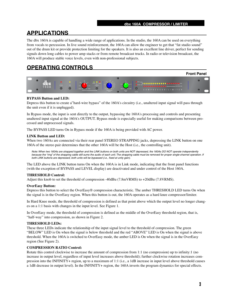# **APPLICATIONS**

The dbx 160A is capable of handling a wide range of applications. In the studio, the 160A can be used on everything from vocals to percussion. In live sound reinforcement, the 160A can allow the engineer to get that "fat studio sound" out of the drum kit or provide protection limiting for the speakers. It is also an excellent line driver, perfect for sending signals down long cables to power amp stacks or from remote broadcast trucks. In radio or television broadcast, the 160A will produce stable voice levels, even with non-professional subjects.

# **OPERATING CONTROLS**



#### **BYPASS Button and LED:**

Depress this button to create a"hard-wire bypass" of the 160A's circuitry (i.e., unaltered input signal will pass through the unit even if it is unplugged).

In Bypass mode, the input is sent directly to the output, bypassing the 160A's processing and controls and presenting unaltered input signal at the 160A's OUTPUT. Bypass mode is especially useful for making comparisons between processed and unprocessed signals.

The BYPASS LED turns On in Bypass mode if the 160A is being provided with AC power.

#### **LINK Button and LED:**

When two 160As are connected via their rear panel STEREO STRAPPING jacks, depressing the LINK button on one 160A of the stereo pair determines that the other 160A will be the Host (i.e., the controlling unit).

*Note: When two 160As are strapped together and the LINK buttons on both units are NOT depressed, the 160As DO NOT operate independently*  because the "ring" of the strapping cable still sums the audio of each unit. The strapping cable must be removed for proper single-channel operation. If *both LINK buttons are depressed, both units will be bypassed (i.e., fixed at unity gain).*

The LED above the LINK button turns On when the 160A is in Link mode, indicating that the front panel functions (with the exception of BYPASS and LEVEL display) are deactivated and under control of the Host 160A.

#### **THRESHOLD Control:**

Adjust this knob to set the threshold of compression -40dBu (7.8mVRMS) to +20dBu (7.8VRMS).

#### **OverEasy Button:**

Depress this button to select the OverEasy® compression characteristic. The amber THRESHOLD LED turns On when the signal is in the OverEasy region. When this button is out, the 160A operates as a hard knee compressor/limiter.

In Hard Knee mode, the threshold of compression is defined as that point above which the output level no longer changes on a 1:1 basis with changes in the input level. See Figure 1.

In OverEasy mode, the threshold of compression is defined as the middle of the OverEasy threshold region, that is, "half-way" into compression, as shown in Figure 2.

#### **THRESHOLD LEDs:**

These three LEDs indicate the relationship of the input signal level to the threshold of compression. The green "BELOW" LED is On when the signal is below threshold and the red "ABOVE" LED is On when the signal is above threshold. When the 160A is switched to OverEasy mode, the amber LED is On when the signal is in the OverEasy region (See Figure 2).

#### **COMPRESSION RATIO Control:**

Rotate this control clockwise to increase the amount of compression from 1:1 (no compression) up to infinity:1 (no increase in output level, regardless of input level increases above threshold); further clockwise rotation increases compression into the INFINITY+ region, up to a maximum of 1:1 (i.e., a 1dB increase in input level above threshold causes a 1dB decrease in output level). In the INFINITY+ region, the 160A inverts the program dynamics for special effects.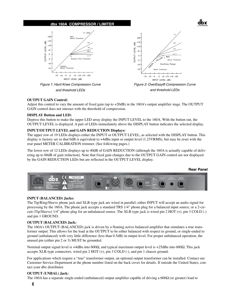





#### **OUTPUT GAIN Control:**

Adjust this control to vary the amount of fixed gain (up to +20dB) in the 160A's output amplifier stage. The OUTPUT GAIN control does not interact with the threshold of compression.

#### **DISPLAY Button and LED:**

Depress this button to make the upper LED array display the INPUT LEVEL to the 160A. With the button out, the OUTPUT LEVEL is displayed. A pair of LEDs immediately above the DISPLAY button indicates the selected display.

#### **INPUT/OUTPUT LEVEL and GAIN REDUCTION Displays:**

The upper row of 19 LEDs displays either the INPUT or OUTPUT LEVEL, as selected with the DISPLAY button. This display is factory set so that 0dB is equivalent to +4dBu input or output level (1.23VRMS), but may be reset with the rear panel METER CALIBRATION trimmer. (See following pages.)

The lower row of 12 LEDs displays up to 40dB of GAIN REDUCTION (although the 160A is actually capable of delivering up to 60dB of gain reduction). Note that fixed gain changes due to the OUTPUT GAIN control are not displayed of the GAIN REDUCTION LEDs but are reflected in the OUTPUT LEVEL display. on). Note that fixed gain changes due reduction). Note that fixed gain changes due to the OUTPUT GAIN control are

#### **Rear Panel**

dbx



#### **INPUT (BALANCED) Jacks:**

The Tip/Ring/Sleeve phone jack and XLR-type jack are wired in parallel; either INPUT will accept an audio signal for processing by the 160A. The phone jack accepts a standard TRS 1/4" phone plug for a balanced input source, or a 2-circuit (Tip/Sleeve) 1/4" phone plug for an unbalanced source. The XLR-type jack is wired pin 2 HOT (+), pin 3 COLD (-) and pin 1 GROUND.

#### **OUTPUT (BALANCED) Jack:**

The 160A's OUTPUT (BALANCED) jack is driven by a floating active-balanced amplifier that simulates a true transformer output. This allows for the load at the OUTPUT to be either balanced with respect to ground, or single-ended to ground (unbalanced) with very little difference (less than 0.5dB) in output level. For proper unbalanced operation, the unused pin (either pin 2 or 3) MUST be grounded.

Nominal output signal level is +4dBu into 600Ω, and typical maximum output level is +25dBu into 600Ω. This jack accepts XLR-type connectors, wired pin 2 HOT (+), pin 3 COLD (-), and pin 1 chassis ground.

For applications which require a "true" transformer output, an optional output transformer can be installed. Contact our Customer Service Department at the phone number listed on the back cover for details. If outside the United States, contact your dbx distributor.

#### **OUTPUT (UNBAL) Jack:**

The 160A has a separate single-ended (unbalanced) output amplifier capable of driving a  $600\Omega$  (or greater) load to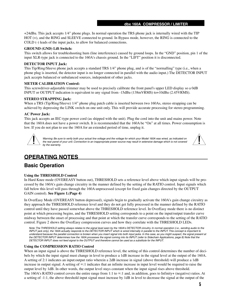+24dBu. This jack accepts 1/4" phone plugs. In normal operation the TRS phone jack is internally wired with the TIP HOT (+), and the RING and SLEEVE connected to ground. In Bypass mode, however, the RING is connected to the COLD (-) leads of the input jacks, to allow for balanced connections.

#### **GROUND (GND) Lift Switch:**

This switch allows for troubleshooting hum (line interference) caused by ground loops. In the "GND" position, pin 1 of the input XLR-type jack is connected to the 160A's chassis ground. In the "LIFT" position it is disconnected.

#### **DETECTOR INPUT Jack:**

This Tip/Ring/Sleeve phone jack accepts a standard TRS 1/4" phone plug, and is of the "normalling" type (i.e., when a phone plug is inserted, the detector input is no longer connected in parallel with the audio input.) The DETECTOR INPUT jack accepts balanced or unbalanced sources, independent of other jacks.

#### **METER CALIBRATION Control:**

This screwdriver-adjustable trimmer may be used to precisely calibrate the front panel's upper LED display so a 0dB INPUT or OUTPUT indication is equivalent to any signal from -15dBu (138mVRMS) to+10dBu (2.45VRMS).

#### **STEREO STRAPPING Jack:**

When a TRS (Tip/Ring/Sleeve) 1/4" phone plug patch cable is inserted between two 160As, stereo strapping can be achieved by depressing the LINK switch on one unit only. This will provide accurate processing for stereo programming.

#### **AC Power Jack:**

This jack accepts an IEC-type power cord (as shipped with the unit). Plug the cord into the unit and mains power. Note that the 160A does not have a power switch. It is recommended that the 160A be "On" at all times. Power consumption is low. If you do not plan to use the 160A for an extended period of time, unplug it.



*Warning: Be sure to verify both your actual line voltage and the voltage for which your Model 160A was wired, as indicated on the rear panel of your unit. Connection to an inappropriate power source may result in extensive damage which is not covered by the warranty.*



## **OPERATING NOTES**

### **Basic Operation**

#### **Using the THRESHOLD Control**

In Hard Knee mode (OVEREASY button out), THRESHOLD sets a reference level above which input signals will be processed by the 160A's gain change circuitry in the manner defined by the setting of the RATIO control. Input signals which fall below this level will pass through the 160A unprocessed (except for fixed gain changes directed by the OUTPUT GAIN control). **See Figure 1.(Page 4)**

In OverEasy Mode (OVEREASY button depressed), signals begin to gradually activate the 160A's gain change circuitry as they approach the THRESHOLD reference level and they do not get fully processed in the manner defined by the RATIO control until they have passed somewhat above the THRESHOLD reference level. In OverEasy mode there is no distinct point at which processing begins, and the THRESHOLD setting corresponds to a point on the input/output transfer curve midway between the onset of processing and that point at which the transfer curve corresponds to the setting of the RATIO control. Figure 2 shows the OverEasy compression curves and how they correlate with the THRESHOLD LEDs.

*Note: The THRESHOLD setting always relates to the signal level seen by the 160A's DETECTOR circuitry. In normal operation (i.e., sending audio to the INPUT jack only), the 160A actually responds to the DETECTOR INPUT which is wired internally in parallel to the INPUT. This concept is important to understand because the parallel connection is broken when you insert signal into both input jacks. In this case, as you might suspect, the signal present at the DETECTOR INPUT determines how the 160A processes the signal coming into its INPUT (refer to Sidechain Applications, page 8) Note that the DETECTOR INPUT does not feed signal to the OUTPUT and therefore cannot be used as a substitute for the INPUT.*

#### **Using the COMPRESSION RATIO Control**

When an input signal is above the THRESHOLD reference level, the setting of this control determines the number of decibels by which the input signal must change in level to produce a 1dB increase in the signal level at the output of the 160A. A setting of 2:1 indicates an input:output ratio wherein a 2dB increase in signal (above threshold) will produce a 1dB increase in output signal. A setting of  $\infty$ :1 indicates that an infinite increase in input level would be required to raise the output level by 1dB. In other words, the output level stays constant when the input signal rises above threshold. The 160A's RATIO control covers the entire range from 1:1 to  $\infty$ :1 and, in addition, goes to Infinity+ (negative) ratios. At a setting of -1:1, the above threshold input signal must increase by 1dB in level to decrease the signal at the output of the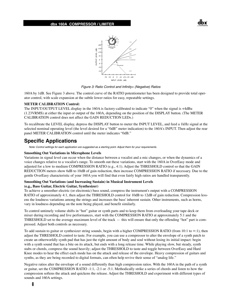



*Figure 3: Ratio Control and Infinity+ (Negative) Ratios*

160A by 1dB. See Figure 3 above. The control curve of the RATIO potentiometer has been designed to provide total operator control, with scale expansion at the subtle lower ratios for easy, repeatable settings.

#### **METER CALIBRATION Control:**

The INPUT/OUTPUT LEVEL display in the 160A is factory-calibrated to indicate "0" when the signal is +4dBu (1.23VRMS) at either the input or output of the 160A, depending on the position of the DISPLAY button. (The METER CALIBRATION control does not affect the GAIN REDUCTION LEDs.)

To recalibrate the LEVEL display, depress the DISPLAY button to meter the INPUT LEVEL, and feed a 1kHz signal at the selected nominal operating level (the level desired for a "0dB" meter indication) to the 160A's INPUT. Then adjust the rear panel METER CALIBRATION control until the meter indicates "0dB."

### **Specific Applications**

*Note: Control settings for each application are suggested as a starting point. Adjust them for your requirements.*

#### **Smoothing Out Variations in Microphone Levels**

Variations in signal level can occur when the distance between a vocalist and a mic changes, or when the dynamics of a voice changes relative to a vocalist's range. To smooth out these variations, start with the 160A in OverEasy mode and adjusted for a low to medium COMPRESSION RATIO (e.g., 4:1). Adjust the THRESHOLD control so that the GAIN REDUCTION meters show 6dB to 10dB of gain reduction, then increase COMPRESSION RATIO if necessary. Due to the gentle OverEasy characteristic of your 160A you will find that even fairly high ratios are handled transparently.

#### **Smoothing Out Variations (and Increasing Sustain) in Musical Instrument Levels (e.g., Bass Guitar, Electric Guitar, Synthesizer)**

To achieve a smoother electric (or electronic) bass sound, compress the instrument's output with a COMPRESSION RATIO of approximately 4:1, then adjust the THRESHOLD control for 10dB to 12dB of gain reduction. Compression lessens the loudness variations among the strings and increases the bass' inherent sustain. Other instruments, such as horns, vary in loudness depending on the note being played, and benefit similarly.

To control untimely volume shifts in "hot" guitar or synth parts and to keep them from overloading your tape deck or mixer during recording and live performances, start with the COMPRESSION RATIO at approximately 5:1 and the THRESHOLD set to the average maximum level of the track -- this will ensure that only the offending "hot" part is compressed. Adjust both controls as necessary.

To add sustain to guitar or synthesizer string sounds, begin with a higher COMPRESSION RATIO (from 10:1 to  $\infty$ :1), then adjust the THRESHOLD control to taste. For example, you can use a compressor to alter the envelope of a synth patch to create an otherworldly synth pad that has just the right amount of body and soul without losing its initial impact: begin with a synth sound that has a bite on its attack, but ends with a long release time. While playing slow, but steady, synth stabs or chords, compress the sound heavily; adjust the THRESHOLD to taste and toggle between OverEasy and Hard Knee modes to hear the effect each mode has on the attack and release of the envelope. Heavy compression of guitars and synths, as they are being recorded to digital formats, can often help revive their sense of "analog life."

Negative ratios alter the envelope of a sound differently than high compression ratios. With the 160A in the path of a synth or guitar, set the COMPRESSION RATIO -1:1, -2:1 or -5:1. Methodically strike a series of chords and listen to how the compression softens the attack and quickens the release. Adjust the THRESHOLD and experiment with different types of sounds and 160A settings.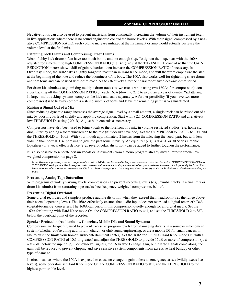Negative ratios can also be used to prevent musicians from continually increasing the volume of their instrument (e.g., in live applications where there is no sound engineer to control the house levels). With their signal compressed by a negative COMPRESSION RATIO, each volume increase initiated at the instrument or amp would actually decrease the volume level at the final mix.

#### **Fattening Kick Drums and Compressing Other Drums**

Weak, flabby kick drums often have too much boom, and not enough slap. To tighten them up, start with the 160A adjusted for a medium to high COMPRESSION RATIO (e.g., 6:1), adjust the THRESHOLD control so that the GAIN REDUCTION meters show 15dB of gain reduction, then increase the COMPRESSION RATIO if necessary. In OverEasy mode, the 160A takes slightly longer to react than in Hard Knee mode, and will therefore emphasize the slap at the beginning of the note and reduce the boominess of its body. The 160A also works well for tightening snare drums and tom toms and can be used with drum machines to effectively alter the character of any electronic drum sound.

For drum kit submixes (e.g., mixing multiple drum tracks to two tracks while using two 160As for compression), consider backing off the COMPRESSION RATIO on each 160A (down to 2:1) to avoid an excess of cymbal "splattering." In larger multitracking systems, compress the kick and snare separately. A further possibility (if you have two more compressors) is to heavily compress a stereo submix of toms and leave the remaining percussives unaffected.

#### **Raising a Signal Out of a Mix**

Since reducing dynamic range increases the average signal level by a small amount, a single track can be raised out of a mix by boosting its level slightly and applying compression. Start with a 2:1 COMPRESSION RATIO and a relatively low THRESHOLD setting (-20dB). Adjust both controls as necessary.

Compressors have also been used to bring vocals to the forefront of a mix in volume-restricted studios (e.g. home studios). Start by adding a foam windscreen to the mic (if it doesn't have one). Set the COMPRESSION RATIO to 10:1 and the THRESHOLD to -10dB. With your mouth approximately 2 inches from the mic, sing the vocal part, but with less volume than normal. Use phrasing to give the part some intensity. An equalizer (e.g., a dbx 20 or 30 Series Graphic Equalizer) or a vocal effects device (e.g., reverb, delay, distortion) can be added to further toughen the performance.

It is also possible to separate certain vocals or instruments from a mono program already mixed: refer to frequencyweighted compression on page 8.

*Note: When compressing a stereo program with a pair of 160As, the factors affecting a compression curve and the actual COMPRESSION RATIO and THRESHOLD settings, are like those previously covered with reference to single channels of program material. However, it will generally be found that large amounts of compression are more audible in a mixed stereo program than they might be on the separate tracks that were mixed to create the program.*

#### **Preventing Analog Tape Saturation**

With programs of widely varying levels, compression can prevent recording levels (e.g., cymbal tracks in a final mix or drum kit submix) from saturating tape tracks (see frequency-weighted compression, below).

#### **Preventing Digital Overload**

Some digital recorders and samplers produce audible distortion when they exceed their headroom (i.e., the range above their normal operating level). The 160A effectively ensures that audio input does not overload a digital recorder's D/A (digital-to-analog) converters. The 160A can perform this compression quietly enough for all digital media. Set the 160A for limiting with Hard Knee mode On, the COMPRESSION RATIO to ∞:1, and set the THRESHOLD 2 to 3dB below the overload point of the recorder.

#### **Speaker Protection (Auditoriums, Churches, Mobile DJs and Sound Systems)**

Compressors are frequently used to prevent excessive program levels from damaging drivers in a sound-reinforcement system (whether you're doing auditorium, church, or club sound engineering, or are a mobile DJ for small dances, or like to push the limits your home's audio entertainment center). Set the 160A for limiting (Hard Knee mode On, with a COMPRESSION RATIO of 10:1 or greater) and adjust the THRESHOLD to provide 15dB or more of compression (just a few dB below the input clip). For low-level signals, the 160A won't change gain, but if large signals come along, the gain will be reduced to prevent clipping and save sensitive system components from excessive heat buildup or other type of damage.

In circumstances where the 160A is expected to cause no change in gain unless an emergency arises (wildly excessive levels), some operators set Hard Knee mode On, the COMPRESSION RATIO to ∞:1, and the THRESHOLD to the highest permissible level.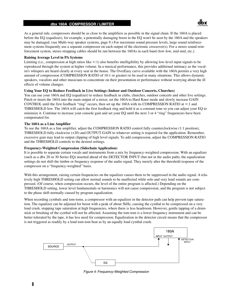As a general rule, compressors should be as close to the amplifiers as possible in the signal chain. If the 160A is placed before the EQ (equalizer), for example, a potentially damaging boost in the EQ won't be seen by the 160A and the speakers may be damaged. (see Multi-way speaker systems, page 9.) For maximum sound pressure levels, large sound reinforcement systems frequently use a separate compressor on each output of the electronic crossover(s). For a stereo sound-reinforcement system, stereo strapping cables should be run between the 160As in each band (low-low, mid-mid, etc.).

#### **Raising Average Level in PA Systems**

Limiting (i.e., compression at high ratios like ∞:1) also benefits intelligibility by allowing low-level input signals to be reproduced through the system at higher volume. In a musical performance, this provides additional intimacy as the vocalist's whispers are heard clearly at every seat in the house. The OverEasy curve available with the 160A permits a very high amount of compression (COMPRESSION RATIO of 10:1 or greater) to be used in many situations. This allows dynamic speakers, vocalists and other musicians to concentrate on their presentation or performance without worrying about the ill effects of volume changes.

#### **Using Your EQ to Reduce Feedback in Live Settings (Indoor and Outdoor Concerts, Churches)**

You can use your 160A and EQ (equalizer) to reduce feedback in clubs, churches, outdoor concerts and other live settings. Patch or insert the 160A into the main output of a mixer, set the 160A to Hard Knee mode and slowly increase GAIN CONTROL until the first feedback "ring" occurs, then set up the 160A with its COMPRESSION RATIO at  $\infty$ :1 and THRESHOLD low. The 160A will catch the first feedback ring and hold it as a constant tone so you can adjust your EQ to minimize it. Continue to increase your console gain and set your EQ until the next 3 or 4 "ring" frequencies have been compensated for.

#### **The 160A as a Line Amplifier**

To use the 160A as a line amplifier, adjust the COMPRESSION RATIO control fully counterclockwise (1:1 position), THRESHOLD fully clockwise (+20) and OUTPUT GAIN to whatever setting is required for the application. Remember, excessive gain may lead to output clipping of high level signals. To add compression, adjust the COMPRESSION RATIO and the THRESHOLD controls to the desired settings.

#### **Frequency-Weighted Compression (Sidechain Application)**

It is possible to separate certain vocals and instruments from a mix by frequency-weighted compression. With an equalizer (such as a dbx 20 or 30 Series EQ) inserted ahead of the DETECTOR INPUT (but not in the audio path), the equalization settings do not shift the timbre or frequency response of the audio signal. They merely alter the threshold response of the compressor on a "frequency-weighted" basis.

With this arrangement, raising certain frequencies on the equalizer causes them to be suppressed in the audio signal. A relatively high THRESHOLD setting can allow normal sounds to be unaffected while solo and very loud sounds are compressed. (Of course, when compression occurs, the level of the entire program is affected.) Depending on the THRESHOLD setting, lower level fundamentals or harmonics will not cause compression, and the program is not subject to the phase shift normally caused by program equalization.

When recording cymbals and tom-toms, a compressor with an equalizer in the detector path can help prevent tape saturation. The equalizer can be adjusted for boost with a peak of about 5kHz, causing the cymbal to be compressed on a very loud crash, stopping tape saturation at high frequencies, where there is less headroom. However, gentle tapping of a drumstick or brushing of the cymbal will not be affected. Assuming the tom-tom is a lower frequency instrument and can be better tolerated by the tape, it has less need for compression. Equalization in the detector circuit means that the compressor is not triggered as readily by a loud tom-tom beat as by an equally loud cymbal crash.



*Figure 4: Frequency-Weighted Compression*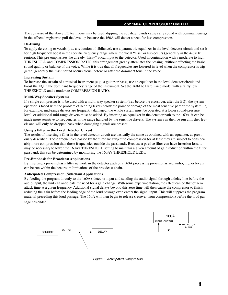The converse of the above EQ technique may be used: dipping the equalizer bands causes any sound with dominant energy in the affected register to pull the level up because the 160A will detect a need for less compression.

#### **De-Essing**

To apply de-essing to vocals (i.e., a reduction of sibilance), use a parametric equalizer in the level detector circuit and set it for high frequency boost in the specific frequency range where the vocal "hiss" or lisp occurs (generally in the 4-6kHz region). This pre-emphasizes the already "hissy" vocal input to the detector. Used in conjunction with a moderate to high THRESHOLD and COMPRESSION RATIO, this arrangement greatly attenuates the "essing" without affecting the basic sound quality or balance of the voice. While it is true that all frequencies are lowered in level when the compressor is triggered, generally the "sss" sound occurs alone, before or after the dominant tone in the voice.

#### **Increasing Sustain**

To increase the sustain of a musical instrument (e.g., a guitar or bass), use an equalizer in the level detector circuit and boost the EQ in the dominant frequency range of the instrument. Set the 160A to Hard Knee mode, with a fairly low THRESHOLD and a moderate COMPRESSION RATIO.

#### **Multi-Way Speaker Systems**

If a single compressor is to be used with a multi-way speaker system (i.e., before the crossover, after the EQ), the system operator is faced with the problem of keeping levels below the point of damage of the most sensitive part of the system. If, for example, mid-range drivers are frequently damaged, the whole system must be operated at a lower sound-pressure level, or additional mid-range drivers must be added. By inserting an equalizer in the detector path to the 160A, it can be made more sensitive to frequencies in the range handled by the sensitive drivers. The system can then be run at higher levels and will only be dropped back when damaging signals are present.

#### **Using a Filter in the Level Detector Circuit**

The results of inserting a filter in the level detector circuit are basically the same as obtained with an equalizer, as previously described. Those frequencies passed by the filter are subject to compression (or at least they are subject to considerably more compression than those frequencies outside the passband). Because a passive filter can have insertion loss, it may be necessary to lower the 160A's THRESHOLD setting to maintain a given amount of gain reduction within the filter passband; this can be determined by monitoring the 160A's THRESHOLD LEDs.

#### **Pre-Emphasis for Broadcast Applications**

By inserting a pre-emphasis filter network in the detector path of a 160A processing pre-emphasized audio, higher levels can be run within the headroom limitations of the broadcast chain.

#### **Anticipated Compression (Sidechain Application)**

By feeding the program directly to the 160A's detector input and sending the audio signal through a delay line before the audio input, the unit can anticipate the need for a gain change. With some experimentation, the effect can be that of zero attack time at a given frequency. Additional signal delays beyond this zero time will then cause the compressor to finish reducing the gain before the leading edge of the loud passage even enters the signal input. This will suppress the program material preceding this loud passage. The 160A will then begin to release (recover from compression) before the loud passage has ended.



*Figure 5: Anticipated Compresion*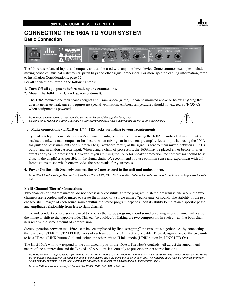# **CONNECTING THE 160A TO YOUR SYSTEM**

#### **Basic Connection**



The 160A has balanced inputs and outputs, and can be used with any line-level device. Some common examples include: mixing consoles, musical instruments, patch bays and other signal processors. For more specific cabling information, refer to Installation Considerations, page 12.

For all connections, refer to the following steps:

**1. Turn Off all equipment before making any connections.**

#### **2. Mount the 160A in a 1U rack space (optional).**

 The 160A requires one rack space (height) and 1 rack space (width). It can be mounted above or below anything that doesn't generate heat, since it requires no special ventilation. Ambient temperatures should not exceed 95°F (35°C) when equipment is powered.



*Note: Avoid over-tightening of rackmounting screws as this could damage the front panel. Caution: Never remove the cover. There are no user-serviceable parts inside, and you run the risk of an electric shock.*



#### **3. Make connections via XLR or 1/4" TRS jacks according to your requirements.**

 Typical patch points include: a mixer's channel or subgroup inserts when using the 160A on individual instruments or tracks; the mixer's main outputs or bus inserts when mixing; an instrument preamp's effects loop when using the 160A for guitar or bass; main outs of a submixer (e.g., keyboard mixer) as the signal is sent to main mixer; between a DAT's output and an analog cassette input. When using a chain of processors, the 160A may be placed either before or after effects or dynamic processors. However, if you are using the 160A for speaker protection, the compressor should be as close to the amplifier as possible in the signal chain. We recommend you use common sense and experiment with different setups to see which one provides the best results for your needs.

#### **4. Power On the unit: Securely connect the AC power cord to the unit and mains power.**

*Note: Check the line voltage. The unit is shipped for 115V or 230V, 50 or 60Hz operation. Refer to the unit's rear panel to verify your unit's precise line voltage.*

#### **Multi-Channel (Stereo) Connections**

Two channels of program material do not necessarily constitute a stereo program. A stereo program is one where the two channels are recorded and/or mixed to create the illusion of a single unified "panorama" of sound. The stability of the psychoacoustic "image" of each sound source within the stereo program depends upon its ability to maintain a specific phase and amplitude relationship from left to right channel.

If two independent compressors are used to process the stereo program, a loud sound occurring in one channel will cause the image to shift to the opposite side. This can be avoided by linking the two compressors in such a way that both channels receive the same amount of compression.

Stereo operation between two 160As can be accomplished by first "strapping" the two unit's together, i.e., by connecting the rear panel STEREO STRAPPING jacks of each unit with a 1/4" TRS phone cable. Then, designate one of the two units to be a "Host" (LINK button Out) and switch the other unit to "Link" mode (LINK button In, LINK LED On).

The Host 160A will now respond to the combined inputs of the 160As. The Host's controls will adjust the amount and nature of the compression and the Linked 160A will track accurately to preserve proper stereo imaging.

*Note: Remove the strapping cable if you want to use two 160As independently. When the LINK buttons on two strapped units are not depressed, the 160As do not operate independently because the "ring" of the strapping cable still sums the audio of each unit. The strapping cable must be removed for proper single-channel operation. If both LINK buttons are depressed, both units will be bypassed (i.e., fixed at unity gain).*

*Note: A 160A unit cannot be strapped with a dbx 160XT, 160X, 160, 161 or 162 unit.*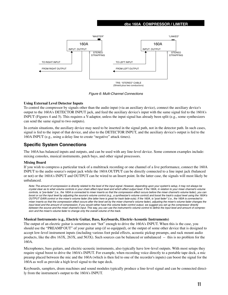

*Figure 6: Multi-Channel Connections*

#### **Using External Level Detector Inputs**

To control the compressor by signals other than the audio input (via an auxiliary device), connect the auxiliary device's output to the 160A's DETECTOR INPUT jack, and feed the auxiliary device's input with the same signal fed to the 160A's INPUT (Figures 4 and 5). This requires a Y-adaptor, unless the input signal has already been split (e.g., some synthesizers can send the same signal to two outputs).

In certain situations, the auxiliary device may need to be inserted in the signal path, not in the detector path. In such cases, signal is fed to the input of that device, and also to the DETECTOR INPUT, and the auxiliary device's output is fed to the 160A INPUT (e.g., using a delay line to create "negative" attack times).

#### **Specific System Connections**

The 160A has balanced inputs and outputs, and can be used with any line-level device. Some common examples include: mixing consoles, musical instruments, patch bays, and other signal processors.

#### **Mixing Board**

If you wish to compress a particular track of a multitrack recording or one channel of a live performance, connect the 160A INPUT to the audio source's output jack while the 160A OUTPUT can be directly connected to a line input jack (balanced or not) or the 160A's INPUT and OUTPUT can be wired to an Insert point. In the latter case, the signals will most likely be unbalanced.

*Note: The amount of compression is directly related to the level of the input signal. However, depending upon your system's setup, it may not always be crystal clear as to what volume controls in your chain affect input level and which affect output level. If the 160A, in relation to your mixer channel's volume controls, is "pre-fader" (i.e., the 160A is connected to mixer inserts so that the compression effect occurs before the mixer channel's volume fader), you can*  boost or cut the input level by adjusting the source's volume control (e.g., a synthesizer's volume control) and boost the track's output level using the 160A's *OUTPUT GAIN control or the mixer's volume fader (the latter here is great for track fade-outs). If the 160A, is "post fader" (i.e., the 160A is connected to mixer inserts so that the compression effect occurs after the level set by the mixer channel's volume fader), adjusting the mixer's volume fader changes the input level and the amount of compression. If you would rather have this volume fader control output, we suggest you set up the compressor directly between the source and the mixer channel's input. This way, you can use the instrument's volume control to define the input level and amount of compression and the mixer's volume fader to change only the overall volume of the track.*

#### **Musical Instruments (e.g., Electric Guitar, Bass, Keyboards, Electric-Acoustic Instruments)**

The output of an electric guitar is sometimes not "hot" enough to drive the 160A's INPUT. When this is the case, you should use the "PREAMP OUT" of your guitar amp (if so equipped), or the output of some other device that is designed to accept low-level instrument inputs (including various foot pedal effects, acoustic pickup preamps, and rack mount audio products, like the dbx 163X, 263X, and 563X). Such sources can be balanced or unbalanced -- this is no problem for the 160A.

Microphones, bass guitars, and electric-acoustic instruments, also typically have low-level outputs. With most setups they require signal boost to drive the 160A's INPUT. For example, when recording voice directly to a portable tape deck, a mic preamp placed between the mic and the 160A (which is then fed to one of the recorder's inputs) can boost the signal for the 160A as well as provide a high level signal to the tape deck.

Keyboards, samplers, drum machines and sound modules typically produce a line-level signal and can be connected directly from the instrument's output to the 160A's INPUT.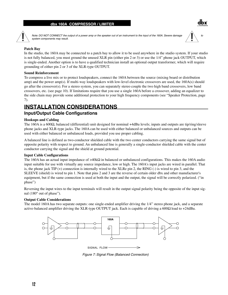

*Note: DO NOT CONNECT the output of a power amp or the speaker out of an instrument to the input of the 160A. Severe damage*  $\sqrt{1}$  to *system components may result.*

#### **Patch Bay**

In the studio, the 160A may be connected to a patch bay to allow it to be used anywhere in the studio system. If your studio is not fully balanced, you must ground the unused XLR pin (either pin 2 or 3) or use the 1/4" phone jack OUTPUT, which is single-ended. Another option is to have a qualified technician install an optional output transformer, which will require grounding of either pin 2 or 3 of the XLR-type OUTPUT.

#### **Sound Reinforcement**

To compress a live mix or to protect loudspeakers, connect the 160A between the source (mixing board or distribution amp) and the power amp(s). If multi-way loudspeakers with low-level electronic crossovers are used, the 160A(s) should go after the crossover(s). For a stereo system, you can separately stereo couple the two high band crossovers, low band crossovers, etc. (see page 10). If limitations require that you use a single 160A before a crossover, adding an equalizer to the side chain may provide some additional protection to your high frequency components (see "Speaker Protection, page 7).

# **INSTALLATION CONSIDERATIONS**

#### **Input/Output Cable Configurations**

#### **Hookups and Cabling**

The 160A is a 600Ω, balanced (differential) unit designed for nominal +4dBu levels; inputs and outputs are tip/ring/sleeve phone jacks and XLR-type jacks. The 160A can be used with either balanced or unbalanced sources and outputs can be used with either balanced or unbalanced loads, provided you use proper cabling.

A balanced line is defined as two-conductor shielded cable with the two center conductors carrying the same signal but of opposite polarity with respect to ground. An unbalanced line is generally a single-conductor shielded cable with the center conductor carrying the signal and the shield at ground potential.

#### **Input Cable Configurations**

The 160A has an actual input impedance of  $>40k\Omega$  in balanced or unbalanced configurations. This makes the 160A audio input suitable for use with virtually any source impedance, low or high. The 160A's input jacks are wired in parallel. That is, the phone jack  $TIP$  (+) connection is internally wired to the XLRe pin 2, the RING (-) is wired to pin 3, and the SLEEVE (shield) is wired to pin 1. Note that pins 2 and 3 are the reverse of certain older dbx and other manufacturer's equipment, but if the same connection is used at both the input and the output, the signal will be correctly polarized. ("in phase")

Reversing the input wires to the input terminals will result in the output signal polarity being the opposite of the input signal (180° out of phase").

#### **Output Cable Considerations**

The model 160A has two separate outputs: one single-ended amplifier driving the 1/4" stereo phone jack, and a separate active-balanced amplifier driving the XLR-type OUTPUT jack. Each is capable of driving a 600 $Ω$  load to +24dBu.



*Figure 7: Signal Flow (Balanced Connection)*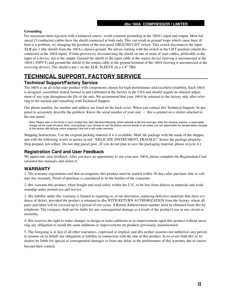#### **Grounding**

For maximum hum rejection with a balanced source, avoid common grounding at the 160A's input and output. Most balanced (3-conductor) cables have the shield connected at both ends. This can result in ground loops which cause hum. If hum is a problem, try changing the position of the rear panel GROUND LIFT switch. This switch disconnects the input XLR pin 1 (the shield) from the 160A's chassis ground. We advise starting with the switch in the LIFT position (shield disconnected at the 160A input). If hum persists try disconnecting the shield on one or more of your cables, preferably at the input of a device, not at the output: Ground the shield of the input cable at the source device (leaving it unconnected at the 160A's INPUT) and ground the shield of the output cable to the ground terminal of the 160A (leaving it unconnected at the receiving device). The shield is pin 1 on the XLR, SLEEVE on a 1/4" TRS.

# **TECHNICAL SUPPORT, FACTORY SERVICE**

### **Technical Support/Factory Service**

The 160A is an all-solid-state product with components chosen for high performance and excellent reliability. Each 160A is designed, assembled, tested, burned in and calibrated at the factory in the USA and should require no internal adjustment of any type throughout the life of the unit. We recommend that your 160A be returned to the factory only after referring to the manual and consulting with Technical Support.

Our phone number, fax number and address are listed on the back cover. When you contact dbx Technical Support, be prepared to accurately describe the problem. Know the serial number of your unit -- this is printed on a sticker attached to the rear panel.

*Note: Please refer to the terms of your Limited Two-Year Standard Warranty, which extends to the first end-user. After the warranty expires, a reasonable charge will be made for parts, labor, and packing if you choose to use the factory service facility. In all cases, you are responsible for transportation charges to the factory. dbx will pay return shipping if the unit is still under warranty.*

Shipping Instructions: Use the original packing material if it is available. Mark the package with the name of the shipper, and with the following words in quotes in red: "DELICATE INSTRUMENT, FRAGILE!" Insure the package properly. Ship prepaid, not collect. Do not ship parcel post. (If you do not plan to save the packaging material, please recycle it.)

### **Registration Card and User Feedback**

We appreciate your feedback. After you have an opportunity to use your new 160A, please complete the Registration Card (inserted this manual), and return it.

### **WARRANTY**

1. The warranty registration card that accompanies this product must be mailed within 30 days after purchase date to validate this warranty. Proof-of-purchase is considered to be the burden of the consumer.

2. dbx warrants this product, when bought and used solely within the U.S., to be free from defects in materials and workmanship under normal use and service.

3. dbx liability under this warranty is limited to repairing or, at our discretion, replacing defective materials that show evidence of defect, provided the product is returned to dbx WITH RETURN AUTHORIZATION from the factory, where all parts and labor will be covered up to a period of two years. A Return Authorization number must be obtained from dbx by telephone. The company shall not be liable for any consequential damage as a result of the product's use in any circuit or assembly.

4. dbx reserves the right to make changes in design or make additions to or improvements upon this product without incurring any obligation to install the same additions or improvements on products previously manufactured.

5. The foregoing is in lieu of all other warranties, expressed or implied, and dbx neither assumes nor authorizes any person to assume on its behalf any obligation or liability in connection with the sale of this product. In no event shall dbx or its dealers be liable for special or consequential damages or from any delay in the performance of this warranty due to causes beyond their control.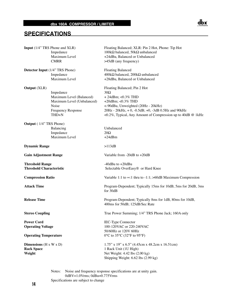### **SPECIFICATIONS**



Notes: Noise and frequency response specifications are at unity gain. 0dBV=1.0Vrms; 0dBu=0.775Vrms Specifications are subject to change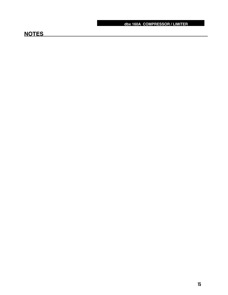# **NOTES**